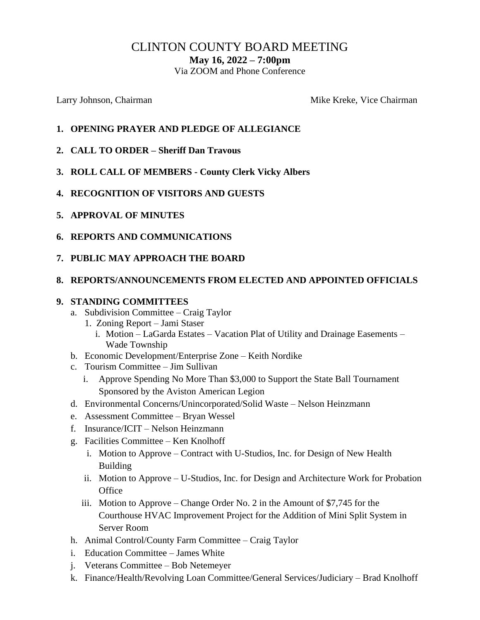# CLINTON COUNTY BOARD MEETING

**May 16, 2022 – 7:00pm**

Via ZOOM and Phone Conference

Larry Johnson, Chairman Mike Kreke, Vice Chairman Mike Kreke, Vice Chairman

- **1. OPENING PRAYER AND PLEDGE OF ALLEGIANCE**
- **2. CALL TO ORDER – Sheriff Dan Travous**
- **3. ROLL CALL OF MEMBERS - County Clerk Vicky Albers**
- **4. RECOGNITION OF VISITORS AND GUESTS**
- **5. APPROVAL OF MINUTES**
- **6. REPORTS AND COMMUNICATIONS**
- **7. PUBLIC MAY APPROACH THE BOARD**

#### **8. REPORTS/ANNOUNCEMENTS FROM ELECTED AND APPOINTED OFFICIALS**

#### **9. STANDING COMMITTEES**

- a. Subdivision Committee Craig Taylor
	- 1. Zoning Report Jami Staser
		- i. Motion LaGarda Estates Vacation Plat of Utility and Drainage Easements Wade Township
- b. Economic Development/Enterprise Zone Keith Nordike
- c. Tourism Committee Jim Sullivan
	- i. Approve Spending No More Than \$3,000 to Support the State Ball Tournament Sponsored by the Aviston American Legion
- d. Environmental Concerns/Unincorporated/Solid Waste Nelson Heinzmann
- e. Assessment Committee Bryan Wessel
- f. Insurance/ICIT Nelson Heinzmann
- g. Facilities Committee Ken Knolhoff
	- i. Motion to Approve Contract with U-Studios, Inc. for Design of New Health Building
	- ii. Motion to Approve U-Studios, Inc. for Design and Architecture Work for Probation **Office**
	- iii. Motion to Approve Change Order No. 2 in the Amount of \$7,745 for the Courthouse HVAC Improvement Project for the Addition of Mini Split System in Server Room
- h. Animal Control/County Farm Committee Craig Taylor
- i. Education Committee James White
- j. Veterans Committee Bob Netemeyer
- k. Finance/Health/Revolving Loan Committee/General Services/Judiciary Brad Knolhoff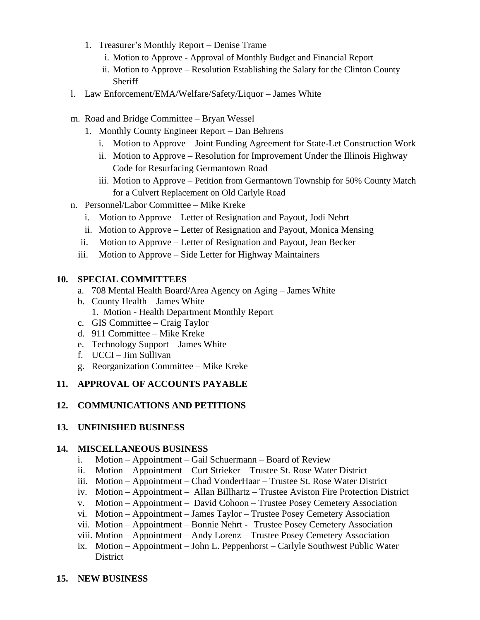- 1. Treasurer's Monthly Report Denise Trame
	- i. Motion to Approve Approval of Monthly Budget and Financial Report
	- ii. Motion to Approve Resolution Establishing the Salary for the Clinton County Sheriff
- l. Law Enforcement/EMA/Welfare/Safety/Liquor James White
- m. Road and Bridge Committee Bryan Wessel
	- 1. Monthly County Engineer Report Dan Behrens
		- i. Motion to Approve Joint Funding Agreement for State-Let Construction Work
		- ii. Motion to Approve Resolution for Improvement Under the Illinois Highway Code for Resurfacing Germantown Road
		- iii. Motion to Approve Petition from Germantown Township for 50% County Match for a Culvert Replacement on Old Carlyle Road
- n. Personnel/Labor Committee Mike Kreke
	- i. Motion to Approve Letter of Resignation and Payout, Jodi Nehrt
	- ii. Motion to Approve Letter of Resignation and Payout, Monica Mensing
	- ii. Motion to Approve Letter of Resignation and Payout, Jean Becker
	- iii. Motion to Approve Side Letter for Highway Maintainers

## **10. SPECIAL COMMITTEES**

- a. 708 Mental Health Board/Area Agency on Aging James White
- b. County Health James White
	- 1. Motion Health Department Monthly Report
- c. GIS Committee Craig Taylor
- d. 911 Committee Mike Kreke
- e. Technology Support James White
- f. UCCI Jim Sullivan
- g. Reorganization Committee Mike Kreke

## **11. APPROVAL OF ACCOUNTS PAYABLE**

## **12. COMMUNICATIONS AND PETITIONS**

## **13. UNFINISHED BUSINESS**

## **14. MISCELLANEOUS BUSINESS**

- i. Motion Appointment Gail Schuermann Board of Review
- ii. Motion Appointment Curt Strieker Trustee St. Rose Water District
- iii. Motion Appointment Chad VonderHaar Trustee St. Rose Water District
- iv. Motion Appointment Allan Billhartz Trustee Aviston Fire Protection District
- v. Motion Appointment David Cohoon Trustee Posey Cemetery Association
- vi. Motion Appointment James Taylor Trustee Posey Cemetery Association
- vii. Motion Appointment Bonnie Nehrt Trustee Posey Cemetery Association
- viii. Motion Appointment Andy Lorenz Trustee Posey Cemetery Association
- ix. Motion Appointment John L. Peppenhorst Carlyle Southwest Public Water District
- **15. NEW BUSINESS**